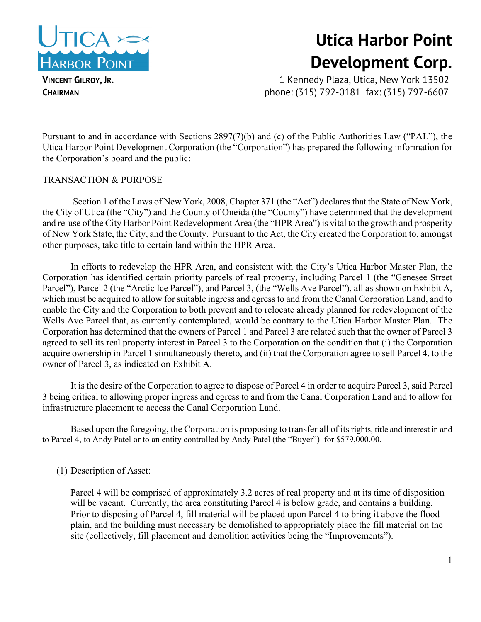

## **Utica Harbor Point Development Corp.**

**VINCENT GILROY, JR.** 1 Kennedy Plaza, Utica, New York 13502 **CHAIRMAN CHAIRMAN phone:** (315) 792-0181 fax: (315) 797-6607

Pursuant to and in accordance with Sections 2897(7)(b) and (c) of the Public Authorities Law ("PAL"), the Utica Harbor Point Development Corporation (the "Corporation") has prepared the following information for the Corporation's board and the public:

## TRANSACTION & PURPOSE

Section 1 of the Laws of New York, 2008, Chapter 371 (the "Act") declares that the State of New York, the City of Utica (the "City") and the County of Oneida (the "County") have determined that the development and re-use of the City Harbor Point Redevelopment Area (the "HPR Area") is vital to the growth and prosperity of New York State, the City, and the County. Pursuant to the Act, the City created the Corporation to, amongst other purposes, take title to certain land within the HPR Area.

In efforts to redevelop the HPR Area, and consistent with the City's Utica Harbor Master Plan, the Corporation has identified certain priority parcels of real property, including Parcel 1 (the "Genesee Street Parcel"), Parcel 2 (the "Arctic Ice Parcel"), and Parcel 3, (the "Wells Ave Parcel"), all as shown on Exhibit A, which must be acquired to allow for suitable ingress and egress to and from the Canal Corporation Land, and to enable the City and the Corporation to both prevent and to relocate already planned for redevelopment of the Wells Ave Parcel that, as currently contemplated, would be contrary to the Utica Harbor Master Plan. The Corporation has determined that the owners of Parcel 1 and Parcel 3 are related such that the owner of Parcel 3 agreed to sell its real property interest in Parcel 3 to the Corporation on the condition that (i) the Corporation acquire ownership in Parcel 1 simultaneously thereto, and (ii) that the Corporation agree to sell Parcel 4, to the owner of Parcel 3, as indicated on Exhibit A.

It is the desire of the Corporation to agree to dispose of Parcel 4 in order to acquire Parcel 3, said Parcel 3 being critical to allowing proper ingress and egress to and from the Canal Corporation Land and to allow for infrastructure placement to access the Canal Corporation Land.

Based upon the foregoing, the Corporation is proposing to transfer all of its rights, title and interest in and to Parcel 4, to Andy Patel or to an entity controlled by Andy Patel (the "Buyer") for \$579,000.00.

(1) Description of Asset:

Parcel 4 will be comprised of approximately 3.2 acres of real property and at its time of disposition will be vacant. Currently, the area constituting Parcel 4 is below grade, and contains a building. Prior to disposing of Parcel 4, fill material will be placed upon Parcel 4 to bring it above the flood plain, and the building must necessary be demolished to appropriately place the fill material on the site (collectively, fill placement and demolition activities being the "Improvements").